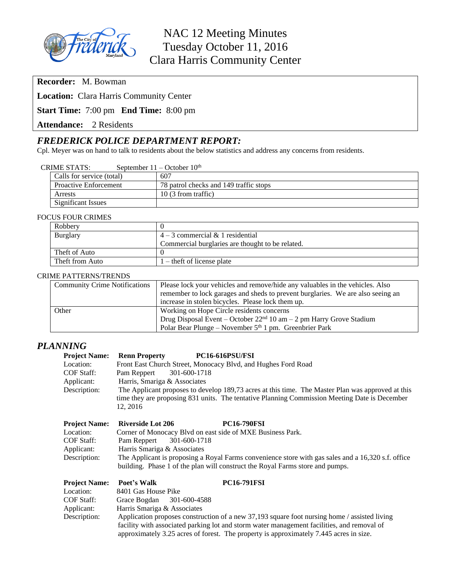

# NAC 12 Meeting Minutes Tuesday October 11, 2016 Clara Harris Community Center

**Recorder:** M. Bowman

**Location:** Clara Harris Community Center

**Start Time:** 7:00 pm **End Time:** 8:00 pm

**Attendance:** 2 Residents

### *FREDERICK POLICE DEPARTMENT REPORT:*

Cpl. Meyer was on hand to talk to residents about the below statistics and address any concerns from residents.

|  | Calls for service (total)    | 607                                    |
|--|------------------------------|----------------------------------------|
|  | <b>Proactive Enforcement</b> | 78 patrol checks and 149 traffic stops |
|  | Arrests                      | 10 (3 from traffic)                    |
|  | Significant Issues           |                                        |

#### FOCUS FOUR CRIMES

| Robbery         |                                                  |  |  |  |
|-----------------|--------------------------------------------------|--|--|--|
| Burglary        | $4-3$ commercial & 1 residential                 |  |  |  |
|                 | Commercial burglaries are thought to be related. |  |  |  |
| Theft of Auto   |                                                  |  |  |  |
| Theft from Auto | $1$ – theft of license plate                     |  |  |  |

#### CRIME PATTERNS/TRENDS

| <b>Community Crime Notifications</b> | Please lock your vehicles and remove/hide any valuables in the vehicles. Also   |  |  |  |
|--------------------------------------|---------------------------------------------------------------------------------|--|--|--|
|                                      | remember to lock garages and sheds to prevent burglaries. We are also seeing an |  |  |  |
|                                      | increase in stolen bicycles. Please lock them up.                               |  |  |  |
| Other                                | Working on Hope Circle residents concerns                                       |  |  |  |
|                                      | Drug Disposal Event – October $22nd 10$ am – 2 pm Harry Grove Stadium           |  |  |  |
|                                      | Polar Bear Plunge – November $5th 1$ pm. Greenbrier Park                        |  |  |  |

### *PLANNING*

| <b>Project Name:</b> | PC16-616PSU/FSI<br><b>Renn Property</b>                                                                                                                                             |  |  |
|----------------------|-------------------------------------------------------------------------------------------------------------------------------------------------------------------------------------|--|--|
| Location:            | Front East Church Street, Monocacy Blvd, and Hughes Ford Road                                                                                                                       |  |  |
| COF Staff:           | Pam Reppert<br>301-600-1718                                                                                                                                                         |  |  |
| Applicant:           | Harris, Smariga & Associates                                                                                                                                                        |  |  |
| Description:         | The Applicant proposes to develop 189,73 acres at this time. The Master Plan was approved at this                                                                                   |  |  |
|                      | time they are proposing 831 units. The tentative Planning Commission Meeting Date is December<br>12, 2016                                                                           |  |  |
| <b>Project Name:</b> | <b>PC16-790FSI</b><br><b>Riverside Lot 206</b>                                                                                                                                      |  |  |
| Location:            | Corner of Monocacy Blvd on east side of MXE Business Park.                                                                                                                          |  |  |
| COF Staff:           | Pam Reppert<br>301-600-1718                                                                                                                                                         |  |  |
| Applicant:           | Harris Smariga & Associates                                                                                                                                                         |  |  |
| Description:         | The Applicant is proposing a Royal Farms convenience store with gas sales and a 16,320 s.f. office<br>building. Phase 1 of the plan will construct the Royal Farms store and pumps. |  |  |
| <b>Project Name:</b> | <b>PC16-791FSI</b><br>Poet's Walk                                                                                                                                                   |  |  |
| Location:            | 8401 Gas House Pike                                                                                                                                                                 |  |  |
| COF Staff:           | Grace Bogdan<br>301-600-4588                                                                                                                                                        |  |  |
| Applicant:           | Harris Smariga & Associates                                                                                                                                                         |  |  |
| Description:         | Application proposes construction of a new 37,193 square foot nursing home / assisted living                                                                                        |  |  |

facility with associated parking lot and storm water management facilities, and removal of approximately 3.25 acres of forest. The property is approximately 7.445 acres in size.